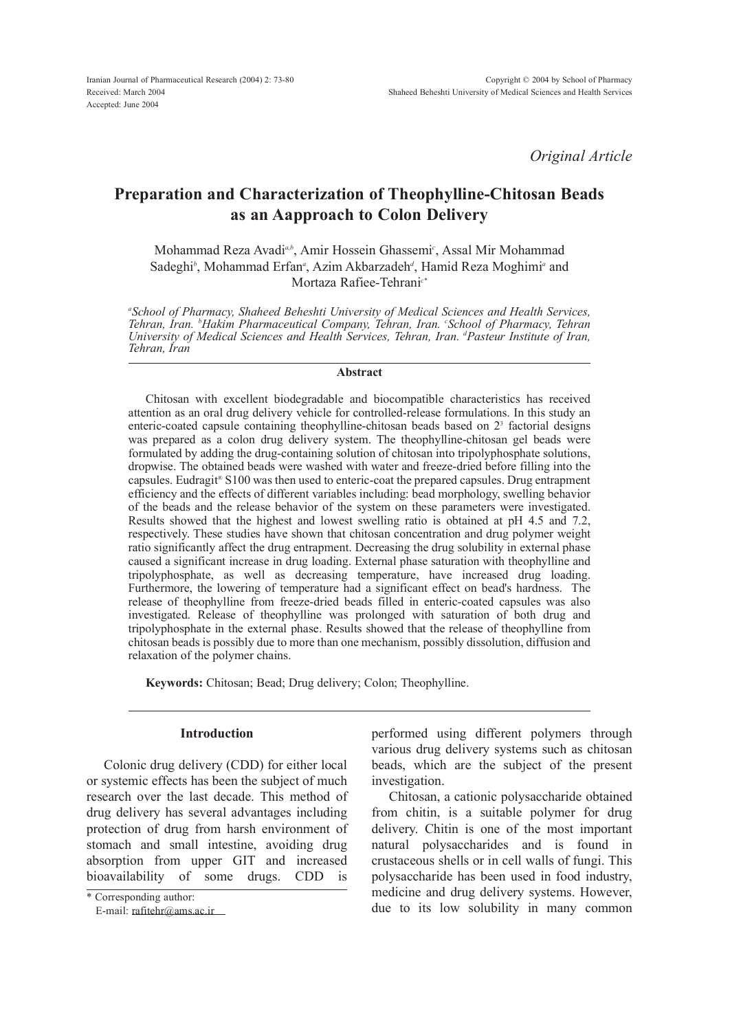*Original Article*

# Preparation and Characterization of Theophylline-Chitosan Beads as an Aapproach to Colon Delivery

Mohammad Reza Avadi<sup>a, b</sup>, Amir Hossein Ghassemi<sup>c</sup>, Assal Mir Mohammad Sadeghi<sup>*i*</sup>, Mohammad Erfan<sub>"</sub>, Azim Akbarzadeh<sup>*i*</sup>, Hamid Reza Moghimi<sup>*a*</sup> and Mortaza Rafiee-Tehrani*c\**

*a School of Pharmacy, Shaheed Beheshti University of Medical Sciences and Health Services, Tehran, Iran. <sup>b</sup>Hakim Pharmaceutical Company, Tehran, Iran. c School of Pharmacy, Tehran University of Medical Sciences and Health Services, Tehran, Iran. <sup>d</sup>Pasteur Institute of Iran, Tehran, Iran* 

## Abstract

Chitosan with excellent biodegradable and biocompatible characteristics has received attention as an oral drug delivery vehicle for controlled-release formulations. In this study an enteric-coated capsule containing theophylline-chitosan beads based on 2<sup>3</sup> factorial designs was prepared as a colon drug delivery system. The theophylline-chitosan gel beads were formulated by adding the drug-containing solution of chitosan into tripolyphosphate solutions, dropwise. The obtained beads were washed with water and freeze-dried before filling into the capsules. Eudragit® S100 was then used to enteric-coat the prepared capsules. Drug entrapment efficiency and the effects of different variables including: bead morphology, swelling behavior of the beads and the release behavior of the system on these parameters were investigated. Results showed that the highest and lowest swelling ratio is obtained at pH 4.5 and 7.2, respectively. These studies have shown that chitosan concentration and drug polymer weight ratio significantly affect the drug entrapment. Decreasing the drug solubility in external phase caused a significant increase in drug loading. External phase saturation with theophylline and tripolyphosphate, as well as decreasing temperature, have increased drug loading. Furthermore, the lowering of temperature had a significant effect on bead's hardness. The release of theophylline from freeze-dried beads filled in enteric-coated capsules was also investigated. Release of theophylline was prolonged with saturation of both drug and tripolyphosphate in the external phase. Results showed that the release of theophylline from chitosan beads is possibly due to more than one mechanism, possibly dissolution, diffusion and relaxation of the polymer chains.

Keywords: Chitosan; Bead; Drug delivery; Colon; Theophylline.

# Introduction

Colonic drug delivery (CDD) for either local or systemic effects has been the subject of much research over the last decade. This method of drug delivery has several advantages including protection of drug from harsh environment of stomach and small intestine, avoiding drug absorption from upper GIT and increased bioavailability of some drugs. CDD is

performed using different polymers through various drug delivery systems such as chitosan beads, which are the subject of the present investigation.

Chitosan, a cationic polysaccharide obtained from chitin, is a suitable polymer for drug delivery. Chitin is one of the most important natural polysaccharides and is found in crustaceous shells or in cell walls of fungi. This polysaccharide has been used in food industry, medicine and drug delivery systems. However, due to its low solubility in many common

<sup>\*</sup> Corresponding author:

E-mail: [rafitehr@ams.ac.ir](mailto:rafitehr@ams.ac.ir)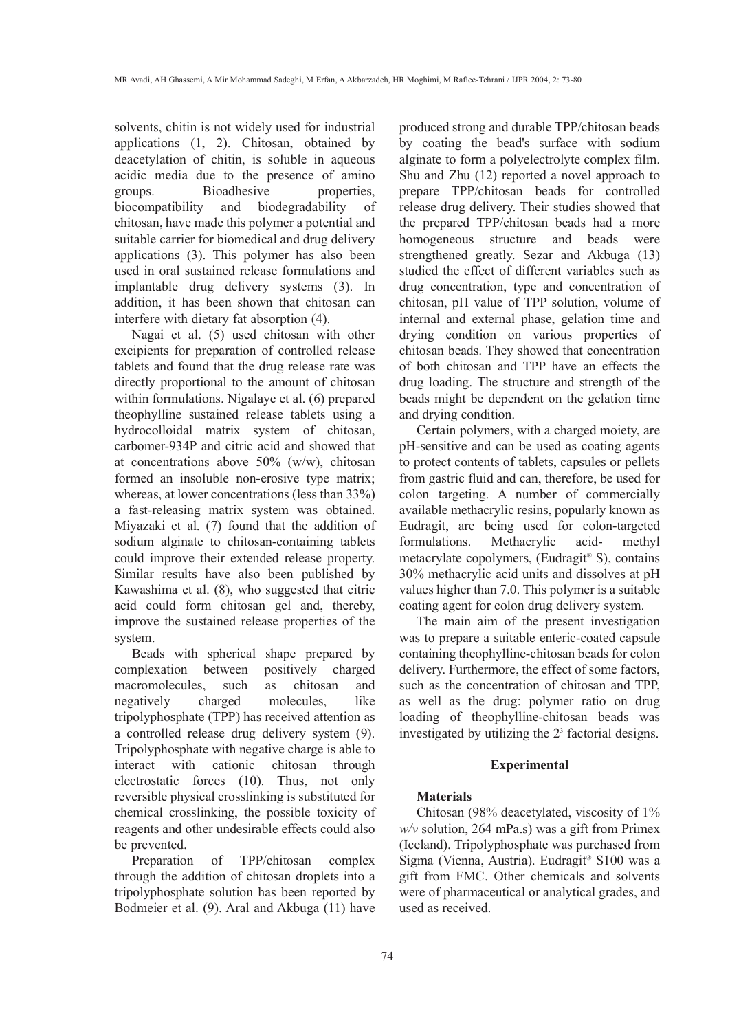solvents, chitin is not widely used for industrial applications (1, 2). Chitosan, obtained by deacetylation of chitin, is soluble in aqueous acidic media due to the presence of amino groups. Bioadhesive properties, biocompatibility and biodegradability of chitosan, have made this polymer a potential and suitable carrier for biomedical and drug delivery applications (3). This polymer has also been used in oral sustained release formulations and implantable drug delivery systems (3). In addition, it has been shown that chitosan can interfere with dietary fat absorption (4).

Nagai et al. (5) used chitosan with other excipients for preparation of controlled release tablets and found that the drug release rate was directly proportional to the amount of chitosan within formulations. Nigalaye et al. (6) prepared theophylline sustained release tablets using a hydrocolloidal matrix system of chitosan, carbomer-934P and citric acid and showed that at concentrations above 50% (w/w), chitosan formed an insoluble non-erosive type matrix; whereas, at lower concentrations (less than 33%) a fast-releasing matrix system was obtained. Miyazaki et al. (7) found that the addition of sodium alginate to chitosan-containing tablets could improve their extended release property. Similar results have also been published by Kawashima et al. (8), who suggested that citric acid could form chitosan gel and, thereby, improve the sustained release properties of the system.

Beads with spherical shape prepared by complexation between positively charged macromolecules, such as chitosan and negatively charged molecules, like tripolyphosphate (TPP) has received attention as a controlled release drug delivery system (9). Tripolyphosphate with negative charge is able to interact with cationic chitosan through electrostatic forces (10). Thus, not only reversible physical crosslinking is substituted for chemical crosslinking, the possible toxicity of reagents and other undesirable effects could also be prevented.

Preparation of TPP/chitosan complex through the addition of chitosan droplets into a tripolyphosphate solution has been reported by Bodmeier et al. (9). Aral and Akbuga (11) have produced strong and durable TPP/chitosan beads by coating the bead's surface with sodium alginate to form a polyelectrolyte complex film. Shu and Zhu (12) reported a novel approach to prepare TPP/chitosan beads for controlled release drug delivery. Their studies showed that the prepared TPP/chitosan beads had a more homogeneous structure and beads were strengthened greatly. Sezar and Akbuga (13) studied the effect of different variables such as drug concentration, type and concentration of chitosan, pH value of TPP solution, volume of internal and external phase, gelation time and drying condition on various properties of chitosan beads. They showed that concentration of both chitosan and TPP have an effects the drug loading. The structure and strength of the beads might be dependent on the gelation time and drying condition.

Certain polymers, with a charged moiety, are pH-sensitive and can be used as coating agents to protect contents of tablets, capsules or pellets from gastric fluid and can, therefore, be used for colon targeting. A number of commercially available methacrylic resins, popularly known as Eudragit, are being used for colon-targeted formulations. Methacrylic acid- methyl metacrylate copolymers, (Eudragit® S), contains 30% methacrylic acid units and dissolves at pH values higher than 7.0. This polymer is a suitable coating agent for colon drug delivery system.

The main aim of the present investigation was to prepare a suitable enteric-coated capsule containing theophylline-chitosan beads for colon delivery. Furthermore, the effect of some factors, such as the concentration of chitosan and TPP, as well as the drug: polymer ratio on drug loading of theophylline-chitosan beads was investigated by utilizing the  $2<sup>3</sup>$  factorial designs.

# Experimental

# Materials

Chitosan (98% deacetylated, viscosity of 1% *w/v* solution, 264 mPa.s) was a gift from Primex (Iceland). Tripolyphosphate was purchased from Sigma (Vienna, Austria). Eudragit® S100 was a gift from FMC. Other chemicals and solvents were of pharmaceutical or analytical grades, and used as received.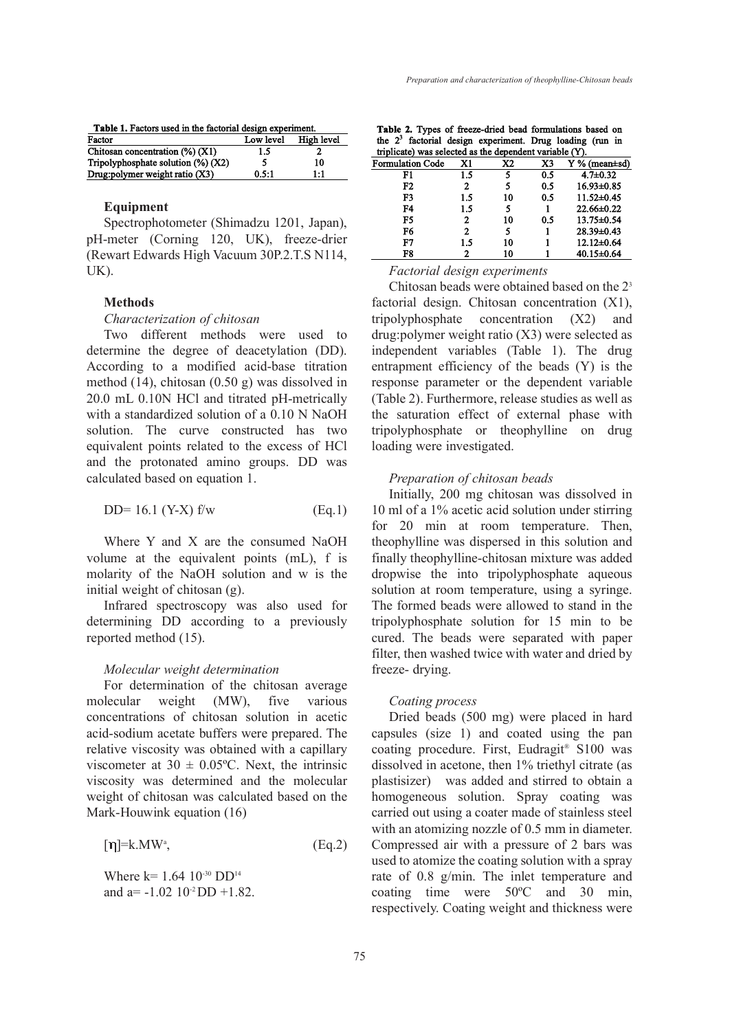| Table 1. Factors used in the factorial design experiment. |           |            |  |  |  |
|-----------------------------------------------------------|-----------|------------|--|--|--|
| Factor                                                    | Low level | High level |  |  |  |
| Chitosan concentration $(\%) (X1)$                        | 1.5       |            |  |  |  |
| Tripolyphosphate solution $(\%)$ (X2)                     | 5         | 10         |  |  |  |
| Drug: polymer weight ratio (X3)                           | 0.5:1     | 1:1        |  |  |  |

# Equipment

Spectrophotometer (Shimadzu 1201, Japan), pH-meter (Corning 120, UK), freeze-drier (Rewart Edwards High Vacuum 30P.2.T.S N114, UK).

## **Methods**

#### *Characterization of chitosan*

Two different methods were used to determine the degree of deacetylation (DD). According to a modified acid-base titration method (14), chitosan (0.50 g) was dissolved in 20.0 mL 0.10N HCl and titrated pH-metrically with a standardized solution of a 0.10 N NaOH solution. The curve constructed has two equivalent points related to the excess of HCl and the protonated amino groups. DD was calculated based on equation 1.

$$
DD = 16.1 \, (Y-X) \, \text{f/w} \tag{Eq.1}
$$

Where Y and X are the consumed NaOH volume at the equivalent points (mL), f is molarity of the NaOH solution and w is the initial weight of chitosan (g).

Infrared spectroscopy was also used for determining DD according to a previously reported method (15).

## *Molecular weight determination*

For determination of the chitosan average molecular weight (MW), five various concentrations of chitosan solution in acetic acid-sodium acetate buffers were prepared. The relative viscosity was obtained with a capillary viscometer at  $30 \pm 0.05$ °C. Next, the intrinsic viscosity was determined and the molecular weight of chitosan was calculated based on the Mark-Houwink equation (16)

$$
[\eta] = k.MW^a, \tag{Eq.2}
$$

Where  $k= 1.64 \ 10^{-30} \ D D^{14}$ and a= $-1.02$  10<sup>-2</sup>DD +1.82.

|                                                         |  |  | Table 2. Types of freeze-dried bead formulations based on  |  |  |  |  |
|---------------------------------------------------------|--|--|------------------------------------------------------------|--|--|--|--|
|                                                         |  |  | the $23$ factorial design experiment. Drug loading (run in |  |  |  |  |
| triplicate) was selected as the dependent variable (Y). |  |  |                                                            |  |  |  |  |
|                                                         |  |  |                                                            |  |  |  |  |

| Formulation Code | X1  | X <sub>2</sub> | X3  | $Y$ % (mean $\pm$ sd) |
|------------------|-----|----------------|-----|-----------------------|
| F1               | 1.5 |                | 0.5 | $4.7 \pm 0.32$        |
| F2               | 2   |                | 0.5 | 16.93±0.85            |
| F3               | 1.5 | 10             | 0.5 | $11.52 \pm 0.45$      |
| F4               | 1.5 | 5              |     | $22.66 \pm 0.22$      |
| F5               | 2   | 10             | 0.5 | 13.75±0.54            |
| F6               | 2   | 5              |     | 28.39±0.43            |
| F7               | 1.5 | 10             |     | $12.12 \pm 0.64$      |
| F8               |     | 10             |     | 40.15±0.64            |

*Factorial design experiments*

Chitosan beads were obtained based on the 2<sup>3</sup> factorial design. Chitosan concentration (X1), tripolyphosphate concentration (X2) and drug:polymer weight ratio (X3) were selected as independent variables (Table 1). The drug entrapment efficiency of the beads (Y) is the response parameter or the dependent variable (Table 2). Furthermore, release studies as well as the saturation effect of external phase with tripolyphosphate or theophylline on drug loading were investigated.

#### *Preparation of chitosan beads*

Initially, 200 mg chitosan was dissolved in 10 ml of a 1% acetic acid solution under stirring for 20 min at room temperature. Then, theophylline was dispersed in this solution and finally theophylline-chitosan mixture was added dropwise the into tripolyphosphate aqueous solution at room temperature, using a syringe. The formed beads were allowed to stand in the tripolyphosphate solution for 15 min to be cured. The beads were separated with paper filter, then washed twice with water and dried by freeze- drying.

## *Coating process*

Dried beads (500 mg) were placed in hard capsules (size 1) and coated using the pan coating procedure. First, Eudragit® S100 was dissolved in acetone, then 1% triethyl citrate (as plastisizer) was added and stirred to obtain a homogeneous solution. Spray coating was carried out using a coater made of stainless steel with an atomizing nozzle of 0.5 mm in diameter. Compressed air with a pressure of 2 bars was used to atomize the coating solution with a spray rate of 0.8 g/min. The inlet temperature and coating time were 50ºC and 30 min, respectively. Coating weight and thickness were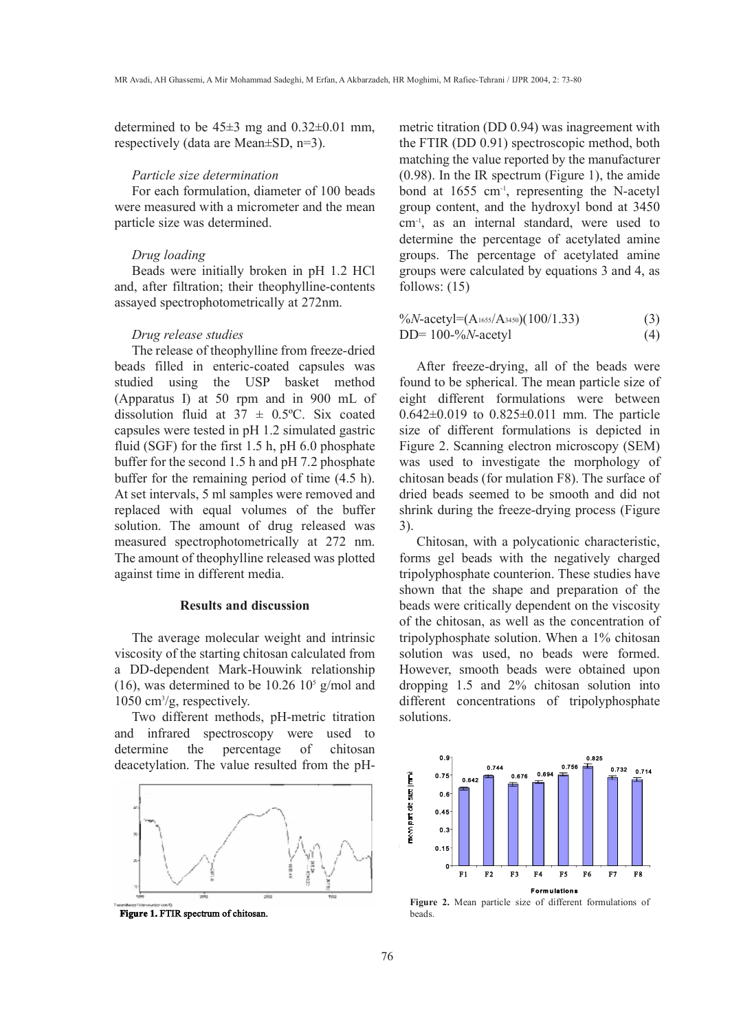determined to be  $45\pm3$  mg and  $0.32\pm0.01$  mm. respectively (data are Mean±SD, n=3).

#### *Particle size determination*

For each formulation, diameter of 100 beads were measured with a micrometer and the mean particle size was determined.

#### *Drug loading*

Beads were initially broken in pH 1.2 HCl and, after filtration; their theophylline-contents assayed spectrophotometrically at 272nm.

#### *Drug release studies*

The release of theophylline from freeze-dried beads filled in enteric-coated capsules was studied using the USP basket method (Apparatus I) at 50 rpm and in 900 mL of dissolution fluid at  $37 \pm 0.5^{\circ}$ C. Six coated capsules were tested in pH 1.2 simulated gastric fluid (SGF) for the first 1.5 h, pH 6.0 phosphate buffer for the second 1.5 h and pH 7.2 phosphate buffer for the remaining period of time (4.5 h). At set intervals, 5 ml samples were removed and replaced with equal volumes of the buffer solution. The amount of drug released was measured spectrophotometrically at 272 nm. The amount of theophylline released was plotted against time in different media.

# Results and discussion

The average molecular weight and intrinsic viscosity of the starting chitosan calculated from a DD-dependent Mark-Houwink relationship (16), was determined to be 10.26 10<sup>5</sup> g/mol and 1050 cm<sup>3</sup> /g, respectively.

Two different methods, pH-metric titration and infrared spectroscopy were used to determine the percentage of chitosan deacetylation. The value resulted from the pH-



*Figure 1. FTIR spectrum of chitosan.* 

metric titration (DD 0.94) was inagreement with the FTIR (DD 0.91) spectroscopic method, both matching the value reported by the manufacturer (0.98). In the IR spectrum (Figure 1), the amide bond at 1655 cm-1 , representing the N-acetyl group content, and the hydroxyl bond at 3450 cm-1 , as an internal standard, were used to determine the percentage of acetylated amine groups. The percentage of acetylated amine groups were calculated by equations 3 and 4, as follows: (15)

$$
\frac{\%N\text{-acetyl}=(A_{1655}/A_{3450})(100/1.33)}{\text{DD}=100-\%N\text{-acetyl}}\tag{3}
$$

After freeze-drying, all of the beads were found to be spherical. The mean particle size of eight different formulations were between 0.642±0.019 to 0.825±0.011 mm. The particle size of different formulations is depicted in Figure 2. Scanning electron microscopy (SEM) was used to investigate the morphology of chitosan beads (for mulation F8). The surface of dried beads seemed to be smooth and did not shrink during the freeze-drying process (Figure 3).

Chitosan, with a polycationic characteristic, forms gel beads with the negatively charged tripolyphosphate counterion. These studies have shown that the shape and preparation of the beads were critically dependent on the viscosity of the chitosan, as well as the concentration of tripolyphosphate solution. When a 1% chitosan solution was used, no beads were formed. However, smooth beads were obtained upon dropping 1.5 and 2% chitosan solution into different concentrations of tripolyphosphate solutions.



Figure 2. Mean particle size of different formulations of beads.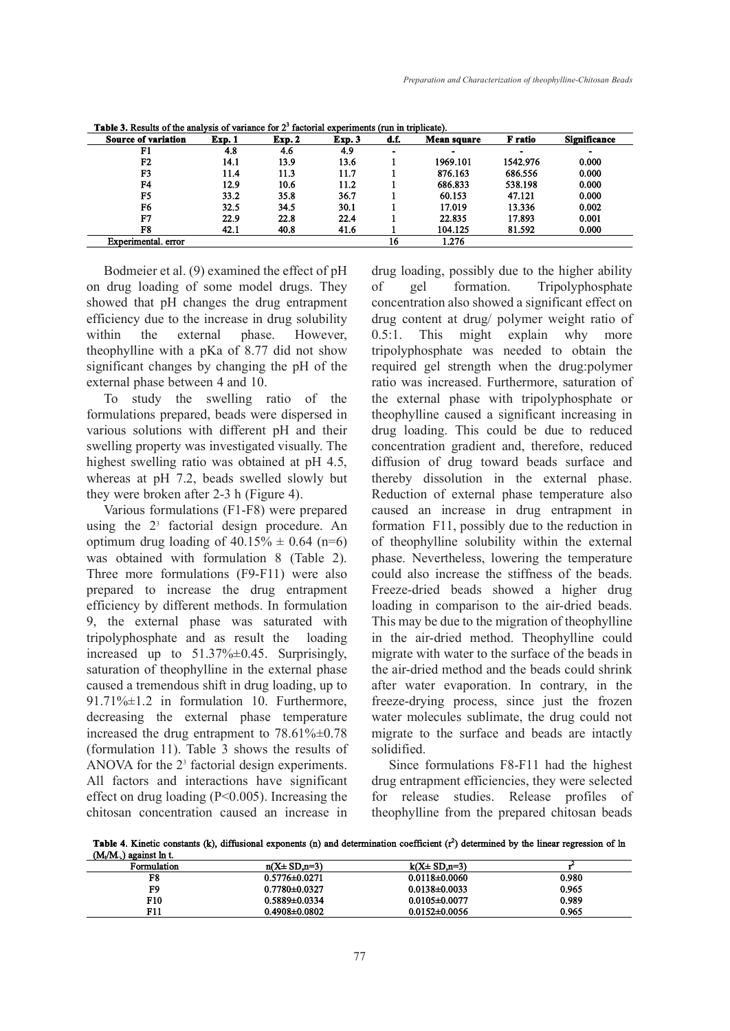| <b>Source of variation</b> | Exp. 1 | Exp. 2 | Exp. 3 | d.f.           | <b>Mean square</b> | F ratio  | <b>Significance</b> |
|----------------------------|--------|--------|--------|----------------|--------------------|----------|---------------------|
| F1                         | 4.8    | 4.6    | 4.9    | $\blacksquare$ | $\blacksquare$     | -        |                     |
| F2                         | 14.1   | 13.9   | 13.6   |                | 1969.101           | 1542.976 | 0.000               |
| F <sub>3</sub>             | 11.4   | 11.3   | 11.7   |                | 876.163            | 686.556  | 0.000               |
| F4                         | 12.9   | 10.6   | 11.2   |                | 686.833            | 538.198  | 0.000               |
| F5                         | 33.2   | 35.8   | 36.7   |                | 60.153             | 47.121   | 0.000               |
| F6                         | 32.5   | 34.5   | 30.1   |                | 17.019             | 13.336   | 0.002               |
| F7                         | 22.9   | 22.8   | 22.4   |                | 22.835             | 17.893   | 0.001               |
| F8                         | 42.1   | 40.8   | 41.6   |                | 104.125            | 81.592   | 0.000               |
| Experimental, error        |        |        |        | 16             | 1.276              |          |                     |

**Table 3.** Results of the analysis of variance for  $2<sup>3</sup>$  factorial experiments (run in triplicate).

Bodmeier et al. (9) examined the effect of pH on drug loading of some model drugs. They showed that pH changes the drug entrapment efficiency due to the increase in drug solubility within the external phase. However, theophylline with a pKa of 8.77 did not show significant changes by changing the pH of the external phase between 4 and 10.

To study the swelling ratio of the formulations prepared, beads were dispersed in various solutions with different pH and their swelling property was investigated visually. The highest swelling ratio was obtained at pH 4.5, whereas at pH 7.2, beads swelled slowly but they were broken after 2-3 h (Figure 4).

Various formulations (F1-F8) were prepared using the  $2<sup>3</sup>$  factorial design procedure. An optimum drug loading of  $40.15\% \pm 0.64$  (n=6) was obtained with formulation 8 (Table 2). Three more formulations (F9-F11) were also prepared to increase the drug entrapment efficiency by different methods. In formulation 9, the external phase was saturated with tripolyphosphate and as result the loading increased up to 51.37%±0.45. Surprisingly, saturation of theophylline in the external phase caused a tremendous shift in drug loading, up to 91.71%±1.2 in formulation 10. Furthermore, decreasing the external phase temperature increased the drug entrapment to 78.61%±0.78 (formulation 11). Table 3 shows the results of ANOVA for the  $2<sup>3</sup>$  factorial design experiments. All factors and interactions have significant effect on drug loading (P<0.005). Increasing the chitosan concentration caused an increase in

drug loading, possibly due to the higher ability<br>of gel formation. Tripolyphosphate of gel formation. Tripolyphosphate concentration also showed a significant effect on drug content at drug/ polymer weight ratio of 0.5:1. This might explain why more tripolyphosphate was needed to obtain the required gel strength when the drug:polymer ratio was increased. Furthermore, saturation of the external phase with tripolyphosphate or theophylline caused a significant increasing in drug loading. This could be due to reduced concentration gradient and, therefore, reduced diffusion of drug toward beads surface and thereby dissolution in the external phase. Reduction of external phase temperature also caused an increase in drug entrapment in formation F11, possibly due to the reduction in of theophylline solubility within the external phase. Nevertheless, lowering the temperature could also increase the stiffness of the beads. Freeze-dried beads showed a higher drug loading in comparison to the air-dried beads. This may be due to the migration of theophylline in the air-dried method. Theophylline could migrate with water to the surface of the beads in the air-dried method and the beads could shrink after water evaporation. In contrary, in the freeze-drying process, since just the frozen water molecules sublimate, the drug could not migrate to the surface and beads are intactly solidified.

Since formulations F8-F11 had the highest drug entrapment efficiencies, they were selected for release studies. Release profiles of theophylline from the prepared chitosan beads

**Table 4.** Kinetic constants (k), diffusional exponents (n) and determination coefficient  $(r^2)$  determined by the linear regression of ln **OL/M** against  $\ln t$ 

| Formulation | $n(X \pm SD, n=3)$  | $k(X \pm SD,n=3)$   |       |
|-------------|---------------------|---------------------|-------|
| F8          | $0.5776 \pm 0.0271$ | $0.0118 \pm 0.0060$ | 0.980 |
| F9          | $0.7780\pm0.0327$   | $0.0138 \pm 0.0033$ | 0.965 |
| F10         | $0.5889 \pm 0.0334$ | $0.0105 \pm 0.0077$ | 0.989 |
| F11         | $0.4908 \pm 0.0802$ | $0.0152 \pm 0.0056$ | 0.965 |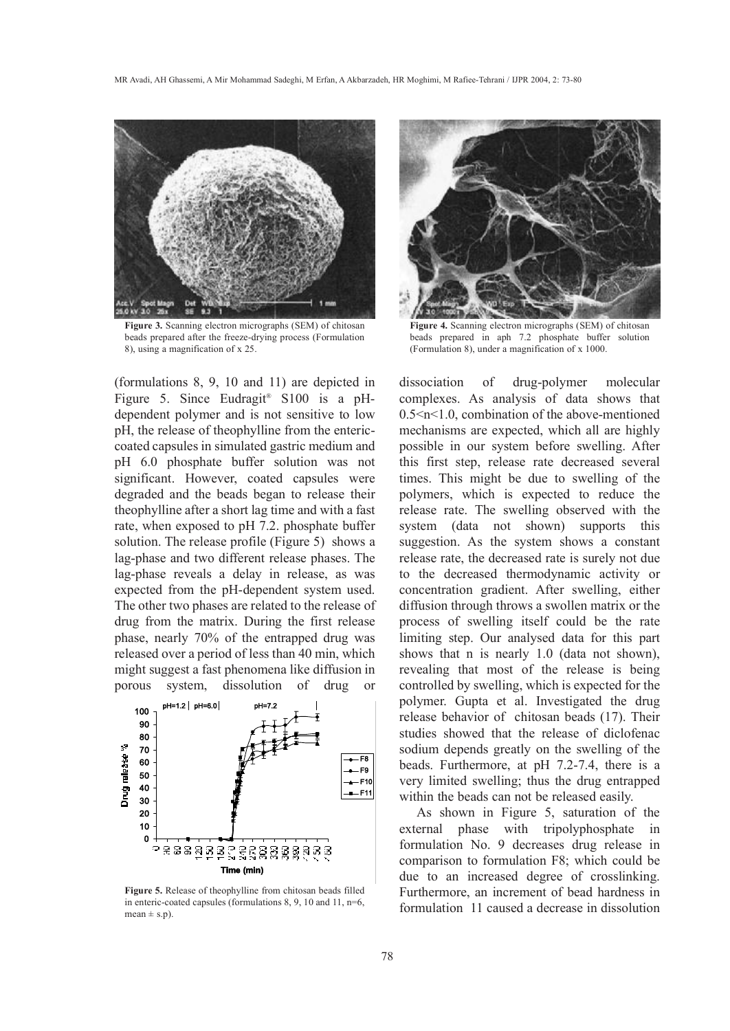

Figure 3. Scanning electron micrographs (SEM) of chitosan beads prepared after the freeze-drying process (Formulation 8), using a magnification of x 25.

(formulations 8, 9, 10 and 11) are depicted in Figure 5. Since Eudragit® S100 is a pHdependent polymer and is not sensitive to low pH, the release of theophylline from the entericcoated capsules in simulated gastric medium and pH 6.0 phosphate buffer solution was not significant. However, coated capsules were degraded and the beads began to release their theophylline after a short lag time and with a fast rate, when exposed to pH 7.2. phosphate buffer solution. The release profile (Figure 5) shows a lag-phase and two different release phases. The lag-phase reveals a delay in release, as was expected from the pH-dependent system used. The other two phases are related to the release of drug from the matrix. During the first release phase, nearly 70% of the entrapped drug was released over a period of less than 40 min, which might suggest a fast phenomena like diffusion in porous system, dissolution of drug or



Figure 5. Release of theophylline from chitosan beads filled in enteric-coated capsules (formulations 8, 9, 10 and 11, n=6,  $mean \pm s.n$ ).



Figure 4. Scanning electron micrographs (SEM) of chitosan beads prepared in aph 7.2 phosphate buffer solution (Formulation 8), under a magnification of x 1000.

dissociation of drug-polymer molecular complexes. As analysis of data shows that 0.5<n<1.0, combination of the above-mentioned mechanisms are expected, which all are highly possible in our system before swelling. After this first step, release rate decreased several times. This might be due to swelling of the polymers, which is expected to reduce the release rate. The swelling observed with the system (data not shown) supports this suggestion. As the system shows a constant release rate, the decreased rate is surely not due to the decreased thermodynamic activity or concentration gradient. After swelling, either diffusion through throws a swollen matrix or the process of swelling itself could be the rate limiting step. Our analysed data for this part shows that n is nearly 1.0 (data not shown), revealing that most of the release is being controlled by swelling, which is expected for the polymer. Gupta et al. Investigated the drug release behavior of chitosan beads (17). Their studies showed that the release of diclofenac sodium depends greatly on the swelling of the beads. Furthermore, at pH 7.2-7.4, there is a very limited swelling; thus the drug entrapped within the beads can not be released easily.

As shown in Figure 5, saturation of the external phase with tripolyphosphate in formulation No. 9 decreases drug release in comparison to formulation F8; which could be due to an increased degree of crosslinking. Furthermore, an increment of bead hardness in formulation 11 caused a decrease in dissolution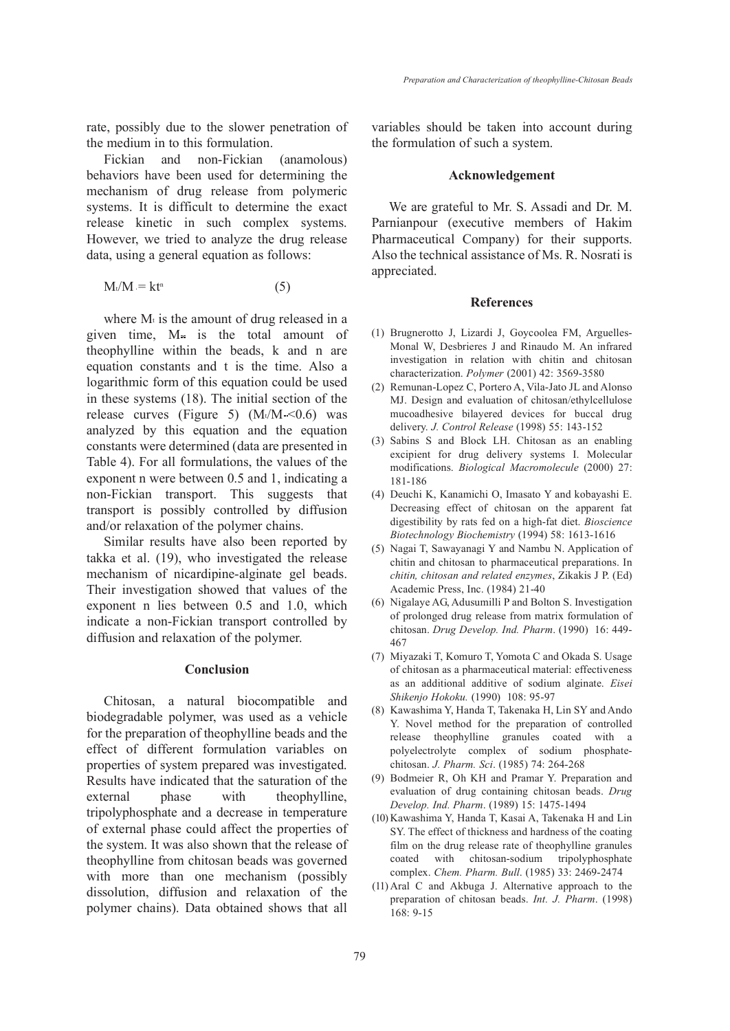rate, possibly due to the slower penetration of the medium in to this formulation.

Fickian and non-Fickian (anamolous) behaviors have been used for determining the mechanism of drug release from polymeric systems. It is difficult to determine the exact release kinetic in such complex systems. However, we tried to analyze the drug release data, using a general equation as follows:

$$
M_t/M = kt^n \tag{5}
$$

where  $M_t$  is the amount of drug released in a given time,  $M_{\infty}$  is the total amount of theophylline within the beads, k and n are equation constants and t is the time. Also a logarithmic form of this equation could be used in these systems (18). The initial section of the release curves (Figure 5)  $(Mt/M \sim 0.6)$  was analyzed by this equation and the equation constants were determined (data are presented in Table 4). For all formulations, the values of the exponent n were between 0.5 and 1, indicating a non-Fickian transport. This suggests that transport is possibly controlled by diffusion and/or relaxation of the polymer chains.

Similar results have also been reported by takka et al. (19), who investigated the release mechanism of nicardipine-alginate gel beads. Their investigation showed that values of the exponent n lies between 0.5 and 1.0, which indicate a non-Fickian transport controlled by diffusion and relaxation of the polymer.

#### Conclusion

Chitosan, a natural biocompatible and biodegradable polymer, was used as a vehicle for the preparation of theophylline beads and the effect of different formulation variables on properties of system prepared was investigated. Results have indicated that the saturation of the external phase with theophylline, tripolyphosphate and a decrease in temperature of external phase could affect the properties of the system. It was also shown that the release of theophylline from chitosan beads was governed with more than one mechanism (possibly dissolution, diffusion and relaxation of the polymer chains). Data obtained shows that all

variables should be taken into account during the formulation of such a system.

#### Acknowledgement

We are grateful to Mr. S. Assadi and Dr. M. Parnianpour (executive members of Hakim Pharmaceutical Company) for their supports. Also the technical assistance of Ms. R. Nosrati is appreciated.

## **References**

- Brugnerotto J, Lizardi J, Goycoolea FM, Arguelles-(1) Monal W, Desbrieres J and Rinaudo M. An infrared investigation in relation with chitin and chitosan characterization. *Polymer* (2001) 42: 3569-3580
- (2) Remunan-Lopez C, Portero A, Vila-Jato JL and Alonso MJ. Design and evaluation of chitosan/ethylcellulose mucoadhesive bilayered devices for buccal drug delivery. *J. Control Release* (1998) 55: 143-152
- (3) Sabins S and Block LH. Chitosan as an enabling excipient for drug delivery systems I. Molecular modifications. *Biological Macromolecule* (2000) 27: 181-186
- Deuchi K, Kanamichi O, Imasato Y and kobayashi E. (4) Decreasing effect of chitosan on the apparent fat digestibility by rats fed on a high-fat diet. *Bioscience Biotechnology Biochemistry* (1994) 58: 1613-1616
- (5) Nagai T, Sawayanagi Y and Nambu N. Application of chitin and chitosan to pharmaceutical preparations. In *chitin, chitosan and related enzymes*, Zikakis J P. (Ed) Academic Press, Inc. (1984) 21-40
- (6) Nigalaye AG, Adusumilli P and Bolton S. Investigation of prolonged drug release from matrix formulation of chitosan. *Drug Develop. Ind. Pharm*. (1990) 16: 449- 467
- (7) Miyazaki T, Komuro T, Yomota C and Okada S. Usage of chitosan as a pharmaceutical material: effectiveness as an additional additive of sodium alginate. *Eisei Shikenjo Hokoku.* (1990) 108: 95-97
- (8) Kawashima Y, Handa T, Takenaka H, Lin SY and Ando Y. Novel method for the preparation of controlled release theophylline granules coated with a polyelectrolyte complex of sodium phosphatechitosan. *J. Pharm. Sci*. (1985) 74: 264-268
- (9) Bodmeier R, Oh KH and Pramar Y. Preparation and evaluation of drug containing chitosan beads. *Drug Develop. Ind. Pharm*. (1989) 15: 1475-1494
- (10) Kawashima Y, Handa T, Kasai A, Takenaka H and Lin SY. The effect of thickness and hardness of the coating film on the drug release rate of theophylline granules coated with chitosan-sodium tripolyphosphate complex. *Chem. Pharm. Bull*. (1985) 33: 2469-2474
- $(11)$  Aral C and Akbuga J. Alternative approach to the preparation of chitosan beads. *Int. J. Pharm*. (1998) 168: 9-15